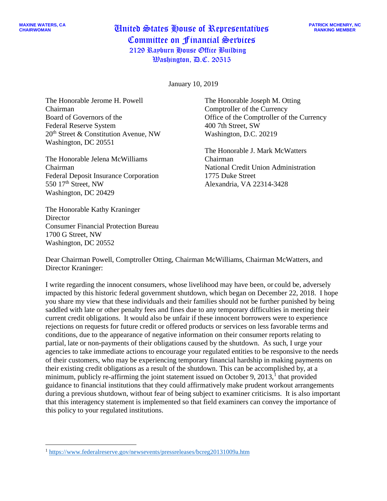January 10, 2019

The Honorable Jerome H. Powell Chairman Board of Governors of the Federal Reserve System  $20<sup>th</sup>$  Street & Constitution Avenue, NW Washington, DC 20551

The Honorable Jelena McWilliams Chairman Federal Deposit Insurance Corporation 550 17<sup>th</sup> Street, NW Washington, DC 20429

The Honorable Joseph M. Otting Comptroller of the Currency Office of the Comptroller of the Currency 400 7th Street, SW Washington, D.C. 20219

The Honorable J. Mark McWatters Chairman National Credit Union Administration 1775 Duke Street Alexandria, VA 22314-3428

The Honorable Kathy Kraninger **Director** Consumer Financial Protection Bureau 1700 G Street, NW Washington, DC 20552

Dear Chairman Powell, Comptroller Otting, Chairman McWilliams, Chairman McWatters, and Director Kraninger:

I write regarding the innocent consumers, whose livelihood may have been, or could be, adversely impacted by this historic federal government shutdown, which began on December 22, 2018. I hope you share my view that these individuals and their families should not be further punished by being saddled with late or other penalty fees and fines due to any temporary difficulties in meeting their current credit obligations. It would also be unfair if these innocent borrowers were to experience rejections on requests for future credit or offered products or services on less favorable terms and conditions, due to the appearance of negative information on their consumer reports relating to partial, late or non-payments of their obligations caused by the shutdown. As such, I urge your agencies to take immediate actions to encourage your regulated entities to be responsive to the needs of their customers, who may be experiencing temporary financial hardship in making payments on their existing credit obligations as a result of the shutdown. This can be accomplished by, at a minimum, publicly re-affirming the joint statement issued on October 9, 20[1](#page-0-0)3, $<sup>1</sup>$  that provided</sup> guidance to financial institutions that they could affirmatively make prudent workout arrangements during a previous shutdown, without fear of being subject to examiner criticisms. It is also important that this interagency statement is implemented so that field examiners can convey the importance of this policy to your regulated institutions.

<span id="page-0-0"></span><sup>1</sup> <https://www.federalreserve.gov/newsevents/pressreleases/bcreg20131009a.htm>